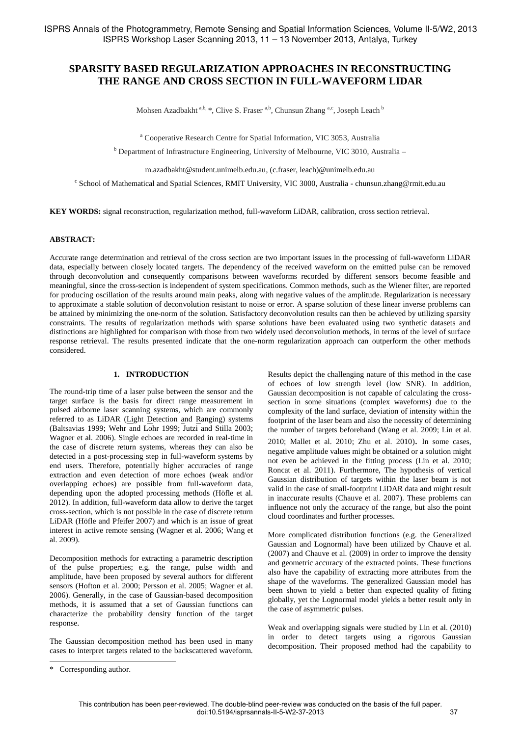# **SPARSITY BASED REGULARIZATION APPROACHES IN RECONSTRUCTING THE RANGE AND CROSS SECTION IN FULL-WAVEFORM LIDAR**

Mohsen Azadbakht a,b, \*, Clive S. Fraser a,b, Chunsun Zhang a,c, Joseph Leach b

<sup>a</sup> Cooperative Research Centre for Spatial Information, VIC 3053, Australia

<sup>b</sup> Department of Infrastructure Engineering, University of Melbourne, VIC 3010, Australia –

m.azadbakht@student.unimelb.edu.au, (c.fraser, leach)@unimelb.edu.au

c School of Mathematical and Spatial Sciences, RMIT University, VIC 3000, Australia - chunsun.zhang@rmit.edu.au

**KEY WORDS:** signal reconstruction, regularization method, full-waveform LiDAR, calibration, cross section retrieval.

### **ABSTRACT:**

Accurate range determination and retrieval of the cross section are two important issues in the processing of full-waveform LiDAR data, especially between closely located targets. The dependency of the received waveform on the emitted pulse can be removed through deconvolution and consequently comparisons between waveforms recorded by different sensors become feasible and meaningful, since the cross-section is independent of system specifications. Common methods, such as the Wiener filter, are reported for producing oscillation of the results around main peaks, along with negative values of the amplitude. Regularization is necessary to approximate a stable solution of deconvolution resistant to noise or error. A sparse solution of these linear inverse problems can be attained by minimizing the one-norm of the solution. Satisfactory deconvolution results can then be achieved by utilizing sparsity constraints. The results of regularization methods with sparse solutions have been evaluated using two synthetic datasets and distinctions are highlighted for comparison with those from two widely used deconvolution methods, in terms of the level of surface response retrieval. The results presented indicate that the one-norm regularization approach can outperform the other methods considered.

## **1. INTRODUCTION**

The round-trip time of a laser pulse between the sensor and the target surface is the basis for direct range measurement in pulsed airborne laser scanning systems, which are commonly referred to as LiDAR (Light Detection and Ranging) systems (Baltsavias 1999; Wehr and Lohr 1999; Jutzi and Stilla 2003; Wagner et al. 2006). Single echoes are recorded in real-time in the case of discrete return systems, whereas they can also be detected in a post-processing step in full-waveform systems by end users. Therefore, potentially higher accuracies of range extraction and even detection of more echoes (weak and/or overlapping echoes) are possible from full-waveform data, depending upon the adopted processing methods (Höfle et al. 2012). In addition, full-waveform data allow to derive the target cross-section, which is not possible in the case of discrete return LiDAR (Höfle and Pfeifer 2007) and which is an issue of great interest in active remote sensing (Wagner et al. 2006; Wang et al. 2009).

Decomposition methods for extracting a parametric description of the pulse properties; e.g. the range, pulse width and amplitude, have been proposed by several authors for different sensors (Hofton et al. 2000; Persson et al. 2005; Wagner et al. 2006). Generally, in the case of Gaussian-based decomposition methods, it is assumed that a set of Gaussian functions can characterize the probability density function of the target response.

The Gaussian decomposition method has been used in many cases to interpret targets related to the backscattered waveform. Results depict the challenging nature of this method in the case of echoes of low strength level (low SNR). In addition, Gaussian decomposition is not capable of calculating the crosssection in some situations (complex waveforms) due to the complexity of the land surface, deviation of intensity within the footprint of the laser beam and also the necessity of determining the number of targets beforehand (Wang et al. 2009; Lin et al. 2010; Mallet et al. 2010; Zhu et al. 2010). In some cases, negative amplitude values might be obtained or a solution might not even be achieved in the fitting process (Lin et al. 2010; Roncat et al. 2011). Furthermore, The hypothesis of vertical Gaussian distribution of targets within the laser beam is not valid in the case of small-footprint LiDAR data and might result in inaccurate results (Chauve et al. 2007). These problems can influence not only the accuracy of the range, but also the point cloud coordinates and further processes.

More complicated distribution functions (e.g. the Generalized Gaussian and Lognormal) have been utilized by Chauve et al. (2007) and Chauve et al. (2009) in order to improve the density and geometric accuracy of the extracted points. These functions also have the capability of extracting more attributes from the shape of the waveforms. The generalized Gaussian model has been shown to yield a better than expected quality of fitting globally, yet the Lognormal model yields a better result only in the case of asymmetric pulses.

Weak and overlapping signals were studied by Lin et al. (2010) in order to detect targets using a rigorous Gaussian decomposition. Their proposed method had the capability to

 $\overline{a}$ 

<sup>\*</sup> Corresponding author.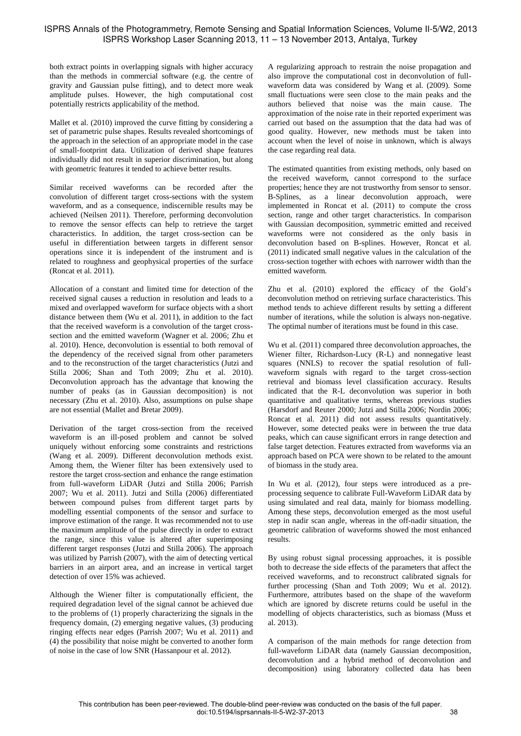both extract points in overlapping signals with higher accuracy than the methods in commercial software (e.g. the centre of gravity and Gaussian pulse fitting), and to detect more weak amplitude pulses. However, the high computational cost potentially restricts applicability of the method.

Mallet et al. (2010) improved the curve fitting by considering a set of parametric pulse shapes. Results revealed shortcomings of the approach in the selection of an appropriate model in the case of small-footprint data. Utilization of derived shape features individually did not result in superior discrimination, but along with geometric features it tended to achieve better results.

Similar received waveforms can be recorded after the convolution of different target cross-sections with the system waveform, and as a consequence, indiscernible results may be achieved (Neilsen 2011). Therefore, performing deconvolution to remove the sensor effects can help to retrieve the target characteristics. In addition, the target cross-section can be useful in differentiation between targets in different sensor operations since it is independent of the instrument and is related to roughness and geophysical properties of the surface (Roncat et al. 2011).

Allocation of a constant and limited time for detection of the received signal causes a reduction in resolution and leads to a mixed and overlapped waveform for surface objects with a short distance between them (Wu et al. 2011), in addition to the fact that the received waveform is a convolution of the target crosssection and the emitted waveform (Wagner et al. 2006; Zhu et al. 2010). Hence, deconvolution is essential to both removal of the dependency of the received signal from other parameters and to the reconstruction of the target characteristics (Jutzi and Stilla 2006; Shan and Toth 2009; Zhu et al. 2010). Deconvolution approach has the advantage that knowing the number of peaks (as in Gaussian decomposition) is not necessary (Zhu et al. 2010). Also, assumptions on pulse shape are not essential (Mallet and Bretar 2009).

Derivation of the target cross-section from the received waveform is an ill-posed problem and cannot be solved uniquely without enforcing some constraints and restrictions (Wang et al. 2009). Different deconvolution methods exist. Among them, the Wiener filter has been extensively used to restore the target cross-section and enhance the range estimation from full-waveform LiDAR (Jutzi and Stilla 2006; Parrish 2007; Wu et al. 2011). Jutzi and Stilla (2006) differentiated between compound pulses from different target parts by modelling essential components of the sensor and surface to improve estimation of the range. It was recommended not to use the maximum amplitude of the pulse directly in order to extract the range, since this value is altered after superimposing different target responses (Jutzi and Stilla 2006). The approach was utilized by Parrish (2007), with the aim of detecting vertical barriers in an airport area, and an increase in vertical target detection of over 15% was achieved.

Although the Wiener filter is computationally efficient, the required degradation level of the signal cannot be achieved due to the problems of (1) properly characterizing the signals in the frequency domain, (2) emerging negative values, (3) producing ringing effects near edges (Parrish 2007; Wu et al. 2011) and (4) the possibility that noise might be converted to another form of noise in the case of low SNR (Hassanpour et al. 2012).

A regularizing approach to restrain the noise propagation and also improve the computational cost in deconvolution of fullwaveform data was considered by Wang et al. (2009). Some small fluctuations were seen close to the main peaks and the authors believed that noise was the main cause. The approximation of the noise rate in their reported experiment was carried out based on the assumption that the data had was of good quality. However, new methods must be taken into account when the level of noise in unknown, which is always the case regarding real data.

The estimated quantities from existing methods, only based on the received waveform, cannot correspond to the surface properties; hence they are not trustworthy from sensor to sensor. B-Splines, as a linear deconvolution approach, were implemented in Roncat et al. (2011) to compute the cross section, range and other target characteristics. In comparison with Gaussian decomposition, symmetric emitted and received waveforms were not considered as the only basis in deconvolution based on B-splines. However, Roncat et al. (2011) indicated small negative values in the calculation of the cross-section together with echoes with narrower width than the emitted waveform.

Zhu et al. (2010) explored the efficacy of the Gold's deconvolution method on retrieving surface characteristics. This method tends to achieve different results by setting a different number of iterations, while the solution is always non-negative. The optimal number of iterations must be found in this case.

Wu et al. (2011) compared three deconvolution approaches, the Wiener filter, Richardson-Lucy (R-L) and nonnegative least squares (NNLS) to recover the spatial resolution of fullwaveform signals with regard to the target cross-section retrieval and biomass level classification accuracy. Results indicated that the R-L deconvolution was superior in both quantitative and qualitative terms, whereas previous studies (Harsdorf and Reuter 2000; Jutzi and Stilla 2006; Nordin 2006; Roncat et al. 2011) did not assess results quantitatively. However, some detected peaks were in between the true data peaks, which can cause significant errors in range detection and false target detection. Features extracted from waveforms via an approach based on PCA were shown to be related to the amount of biomass in the study area.

In Wu et al. (2012), four steps were introduced as a preprocessing sequence to calibrate Full-Waveform LiDAR data by using simulated and real data, mainly for biomass modelling. Among these steps, deconvolution emerged as the most useful step in nadir scan angle, whereas in the off-nadir situation, the geometric calibration of waveforms showed the most enhanced results.

By using robust signal processing approaches, it is possible both to decrease the side effects of the parameters that affect the received waveforms, and to reconstruct calibrated signals for further processing (Shan and Toth 2009; Wu et al. 2012). Furthermore, attributes based on the shape of the waveform which are ignored by discrete returns could be useful in the modelling of objects characteristics, such as biomass (Muss et al. 2013).

A comparison of the main methods for range detection from full-waveform LiDAR data (namely Gaussian decomposition, deconvolution and a hybrid method of deconvolution and decomposition) using laboratory collected data has been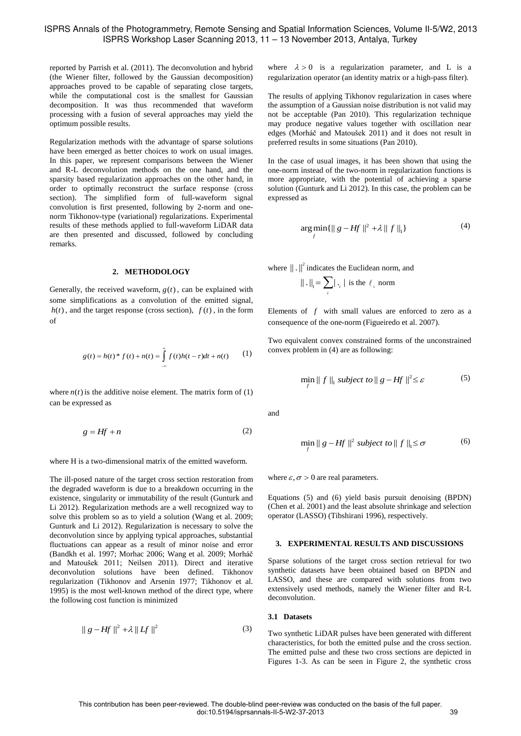reported by Parrish et al. (2011). The deconvolution and hybrid (the Wiener filter, followed by the Gaussian decomposition) approaches proved to be capable of separating close targets, while the computational cost is the smallest for Gaussian decomposition. It was thus recommended that waveform processing with a fusion of several approaches may yield the optimum possible results.

Regularization methods with the advantage of sparse solutions have been emerged as better choices to work on usual images. In this paper, we represent comparisons between the Wiener and R-L deconvolution methods on the one hand, and the sparsity based regularization approaches on the other hand, in order to optimally reconstruct the surface response (cross section). The simplified form of full-waveform signal convolution is first presented, following by 2-norm and onenorm Tikhonov-type (variational) regularizations. Experimental results of these methods applied to full-waveform LiDAR data are then presented and discussed, followed by concluding remarks.

#### **2. METHODOLOGY**

Generally, the received waveform,  $g(t)$ , can be explained with some simplifications as a convolution of the emitted signal,  $h(t)$ , and the target response (cross section),  $f(t)$ , in the form of

$$
g(t) = h(t)^{*} f(t) + n(t) = \int_{-\infty}^{\infty} f(t)h(t - \tau)dt + n(t)
$$
 (1)

where  $n(t)$  is the additive noise element. The matrix form of  $(1)$ can be expressed as

$$
g = Hf + n \tag{2}
$$

where H is a two-dimensional matrix of the emitted waveform.

The ill-posed nature of the target cross section restoration from the degraded waveform is due to a breakdown occurring in the existence, singularity or immutability of the result (Gunturk and Li 2012). Regularization methods are a well recognized way to solve this problem so as to yield a solution (Wang et al. 2009; Gunturk and Li 2012). Regularization is necessary to solve the deconvolution since by applying typical approaches, substantial fluctuations can appear as a result of minor noise and error (Bandkh et al. 1997; Morhac 2006; Wang et al. 2009; Morháč and Matoušek 2011; Neilsen 2011). Direct and iterative deconvolution solutions have been defined. Tikhonov regularization (Tikhonov and Arsenin 1977; Tikhonov et al. 1995) is the most well-known method of the direct type, where the following cost function is minimized

$$
\|g - Hf\|^2 + \lambda \|Hf\|^2 \tag{3}
$$

where  $\lambda > 0$  is a regularization parameter, and L is a regularization operator (an identity matrix or a high-pass filter)*.*

The results of applying Tikhonov regularization in cases where the assumption of a Gaussian noise distribution is not valid may not be acceptable (Pan 2010). This regularization technique may produce negative values together with oscillation near edges (Morháč and Matoušek 2011) and it does not result in preferred results in some situations (Pan 2010).

In the case of usual images, it has been shown that using the one-norm instead of the two-norm in regularization functions is more appropriate, with the potential of achieving a sparse solution (Gunturk and Li 2012). In this case, the problem can be expressed as

$$
\underset{f}{\arg\min} \{ \|g - Hf\|^2 + \lambda \|f\|_1 \} \tag{4}
$$

where  $\left\| \right. \right\|^{2}$  indicates the Euclidean norm, and

$$
\|\,.\,\|_{_{\mathrm{I}}} = \sum_{i} |\,.\,,\,| \text{ is the } \ell_{_{\mathrm{I}}} \text{ norm}
$$

Elements of  $f$  with small values are enforced to zero as a consequence of the one-norm (Figueiredo et al. 2007).

Two equivalent convex constrained forms of the unconstrained convex problem in (4) are as following:

$$
\min_{f} \|f\|_{1} \text{ subject to } \|g - Hf\|^{2} \leq \varepsilon
$$
 (5)

and

$$
\min_{f} \|g - Hf\|^2 \text{ subject to } \|f\|_1 \le \sigma \tag{6}
$$

where  $\varepsilon, \sigma > 0$  are real parameters.

Equations (5) and (6) yield basis pursuit denoising (BPDN) (Chen et al. 2001) and the least absolute shrinkage and selection operator (LASSO) (Tibshirani 1996), respectively.

### **3. EXPERIMENTAL RESULTS AND DISCUSSIONS**

Sparse solutions of the target cross section retrieval for two synthetic datasets have been obtained based on BPDN and LASSO, and these are compared with solutions from two extensively used methods, namely the Wiener filter and R-L deconvolution.

# **3.1 Datasets**

Two synthetic LiDAR pulses have been generated with different characteristics, for both the emitted pulse and the cross section. The emitted pulse and these two cross sections are depicted in Figures 1-3. As can be seen in Figure 2, the synthetic cross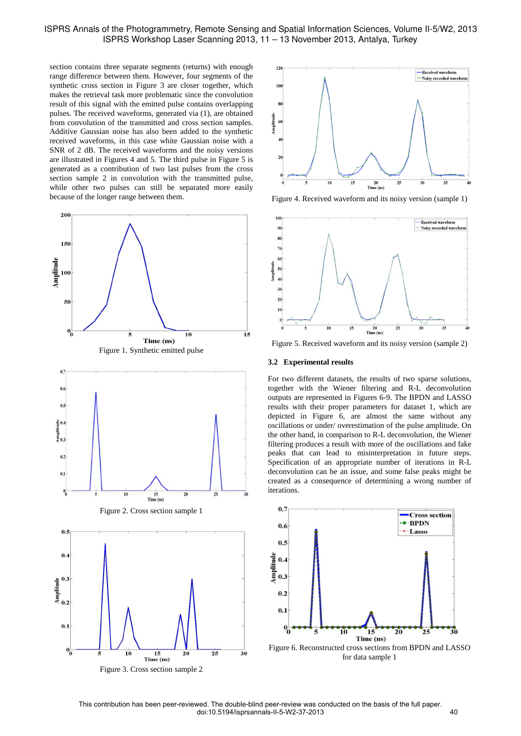# ISPRS Annals of the Photogrammetry, Remote Sensing and Spatial Information Sciences, Volume II-5/W2, 2013 ISPRS Workshop Laser Scanning 2013, 11 – 13 November 2013, Antalya, Turkey

section contains three separate segments (returns) with enough range difference between them. However, four segments of the synthetic cross section in Figure 3 are closer together, which makes the retrieval task more problematic since the convolution result of this signal with the emitted pulse contains overlapping pulses. The received waveforms, generated via (1), are obtained from convolution of the transmitted and cross section samples. Additive Gaussian noise has also been added to the synthetic received waveforms, in this case white Gaussian noise with a SNR of 2 dB. The received waveforms and the noisy versions are illustrated in Figures 4 and 5. The third pulse in Figure 5 is generated as a contribution of two last pulses from the cross section sample 2 in convolution with the transmitted pulse, while other two pulses can still be separated more easily because of the longer range between them.



Figure 3. Cross section sample 2



Figure 4. Received waveform and its noisy version (sample 1)



Figure 5. Received waveform and its noisy version (sample 2)

#### **3.2 Experimental results**

For two different datasets, the results of two sparse solutions, together with the Wiener filtering and R-L deconvolution outputs are represented in Figures 6-9. The BPDN and LASSO results with their proper parameters for dataset 1, which are depicted in Figure 6, are almost the same without any oscillations or under/ overestimation of the pulse amplitude. On the other hand, in comparison to R-L deconvolution, the Wiener filtering produces a result with more of the oscillations and fake peaks that can lead to misinterpretation in future steps. Specification of an appropriate number of iterations in R-L deconvolution can be an issue, and some false peaks might be created as a consequence of determining a wrong number of iterations.



for data sample 1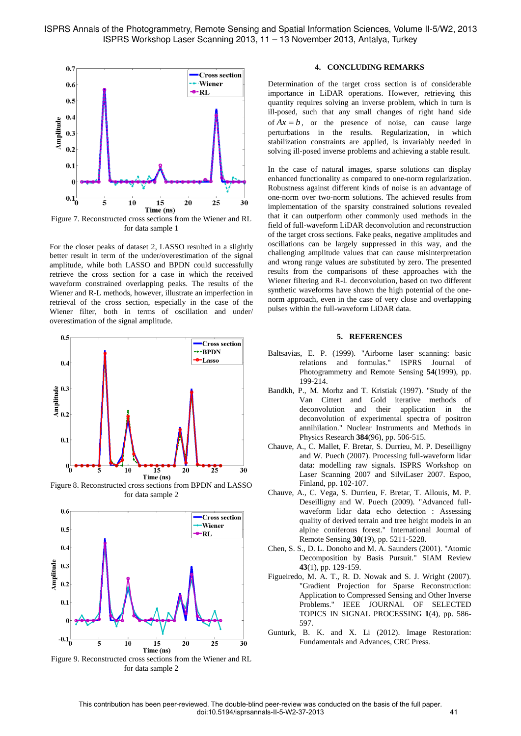

Figure 7. Reconstructed cross sections from the Wiener and RL for data sample 1

For the closer peaks of dataset 2, LASSO resulted in a slightly better result in term of the under/overestimation of the signal amplitude, while both LASSO and BPDN could successfully retrieve the cross section for a case in which the received waveform constrained overlapping peaks. The results of the Wiener and R-L methods, however, illustrate an imperfection in retrieval of the cross section, especially in the case of the Wiener filter, both in terms of oscillation and under/ overestimation of the signal amplitude.



Figure 8. Reconstructed cross sections from BPDN and LASSO for data sample 2



Figure 9. Reconstructed cross sections from the Wiener and RL for data sample 2

# **4. CONCLUDING REMARKS**

Determination of the target cross section is of considerable importance in LiDAR operations. However, retrieving this quantity requires solving an inverse problem, which in turn is ill-posed, such that any small changes of right hand side of  $Ax = b$ , or the presence of noise, can cause large perturbations in the results. Regularization, in which stabilization constraints are applied, is invariably needed in solving ill-posed inverse problems and achieving a stable result.

In the case of natural images, sparse solutions can display enhanced functionality as compared to one-norm regularization. Robustness against different kinds of noise is an advantage of one-norm over two-norm solutions. The achieved results from implementation of the sparsity constrained solutions revealed that it can outperform other commonly used methods in the field of full-waveform LiDAR deconvolution and reconstruction of the target cross sections. Fake peaks, negative amplitudes and oscillations can be largely suppressed in this way, and the challenging amplitude values that can cause misinterpretation and wrong range values are substituted by zero. The presented results from the comparisons of these approaches with the Wiener filtering and R-L deconvolution, based on two different synthetic waveforms have shown the high potential of the onenorm approach, even in the case of very close and overlapping pulses within the full-waveform LiDAR data.

# **5. REFERENCES**

- Baltsavias, E. P. (1999). "Airborne laser scanning: basic relations and formulas." ISPRS Journal of Photogrammetry and Remote Sensing **54**(1999), pp. 199-214.
- Bandkh, P., M. Morhz and T. Kristiak (1997). "Study of the Van Cittert and Gold iterative methods of deconvolution and their application in the deconvolution of experimental spectra of positron annihilation." Nuclear Instruments and Methods in Physics Research **384**(96), pp. 506-515.
- Chauve, A., C. Mallet, F. Bretar, S. Durrieu, M. P. Deseilligny and W. Puech (2007). Processing full-waveform lidar data: modelling raw signals. ISPRS Workshop on Laser Scanning 2007 and SilviLaser 2007. Espoo, Finland, pp. 102-107.
- Chauve, A., C. Vega, S. Durrieu, F. Bretar, T. Allouis, M. P. Deseilligny and W. Puech (2009). "Advanced fullwaveform lidar data echo detection : Assessing quality of derived terrain and tree height models in an alpine coniferous forest." International Journal of Remote Sensing **30**(19), pp. 5211-5228.
- Chen, S. S., D. L. Donoho and M. A. Saunders (2001). "Atomic Decomposition by Basis Pursuit." SIAM Review **43**(1), pp. 129-159.
- Figueiredo, M. A. T., R. D. Nowak and S. J. Wright (2007). "Gradient Projection for Sparse Reconstruction: Application to Compressed Sensing and Other Inverse Problems." IEEE JOURNAL OF SELECTED TOPICS IN SIGNAL PROCESSING **1**(4), pp. 586- 597.
- Gunturk, B. K. and X. Li (2012). Image Restoration: Fundamentals and Advances, CRC Press.